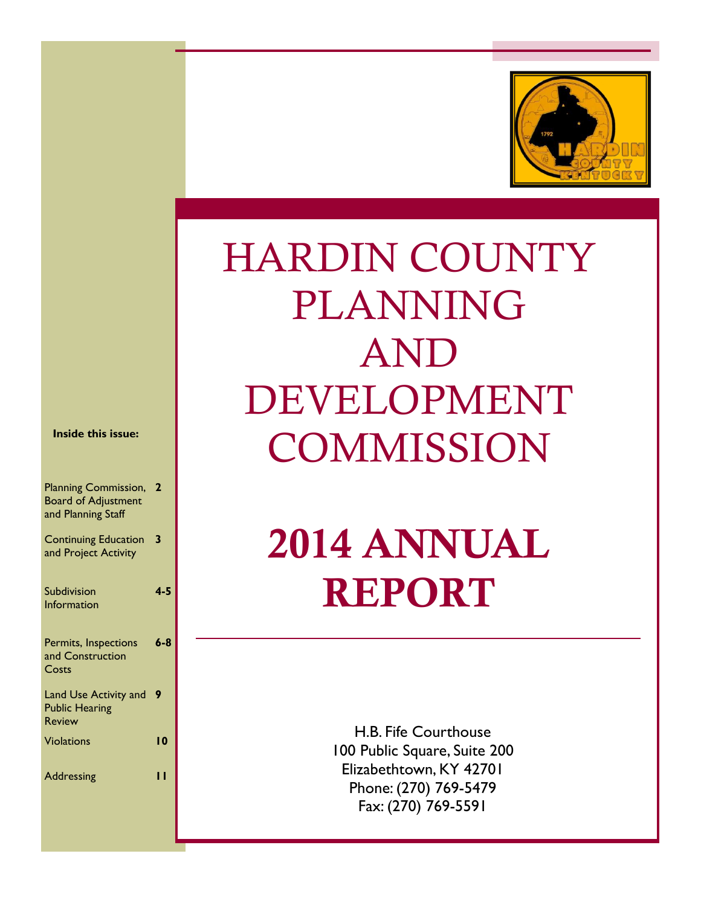

# HARDIN COUNTY PLANNING AND DEVELOPMENT **COMMISSION**

# 2014 ANNUAL REPORT

H.B. Fife Courthouse 100 Public Square, Suite 200 Elizabethtown, KY 42701 Phone: (270) 769-5479 Fax: (270) 769-5591

**Inside this issue:** 

| <b>Planning Commission, 2</b> |   |
|-------------------------------|---|
| <b>Board of Adjustment</b>    |   |
| and Planning Staff            |   |
|                               |   |
| <b>Continuing Education</b>   | 3 |

and Project Activity

| Subdivision        | $4 - 5$ |
|--------------------|---------|
| <b>Information</b> |         |

| Permits, Inspections<br>and Construction       | $6 - 8$ |
|------------------------------------------------|---------|
| Costs                                          |         |
| Land Use Activity and<br><b>Public Hearing</b> | 9       |
| <b>Review</b>                                  |         |
| <b>Violations</b>                              | 10      |
| Addressing                                     |         |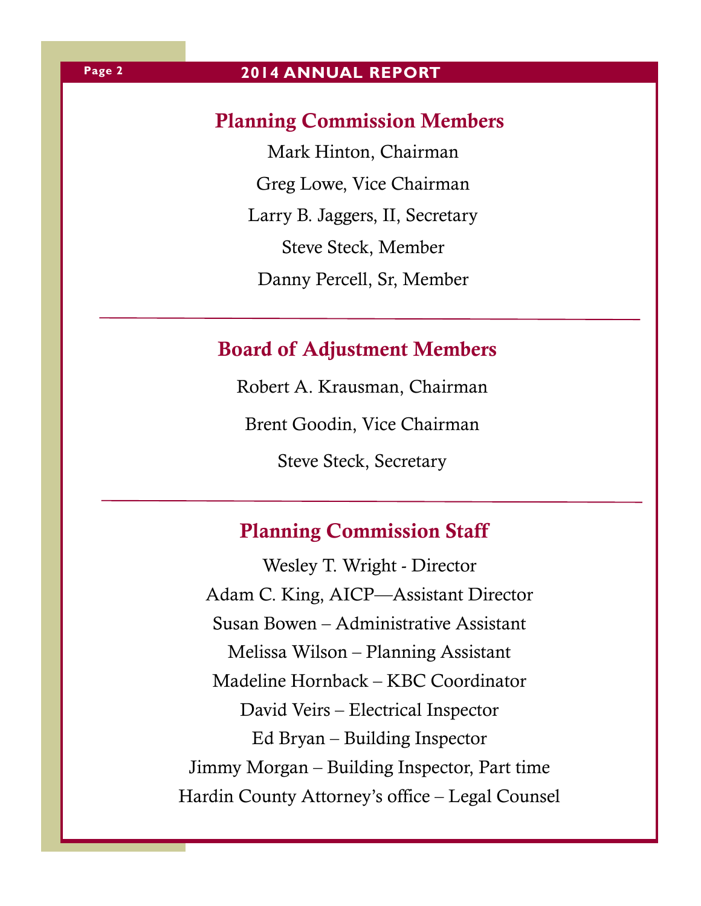### **2014 ANNUAL REPORT**

# Planning Commission Members

Mark Hinton, Chairman Greg Lowe, Vice Chairman Larry B. Jaggers, II, Secretary Steve Steck, Member Danny Percell, Sr, Member

# Board of Adjustment Members

Robert A. Krausman, Chairman Brent Goodin, Vice Chairman Steve Steck, Secretary

# Planning Commission Staff

Wesley T. Wright - Director Adam C. King, AICP—Assistant Director Susan Bowen – Administrative Assistant Melissa Wilson – Planning Assistant Madeline Hornback – KBC Coordinator David Veirs – Electrical Inspector Ed Bryan – Building Inspector Jimmy Morgan – Building Inspector, Part time Hardin County Attorney's office – Legal Counsel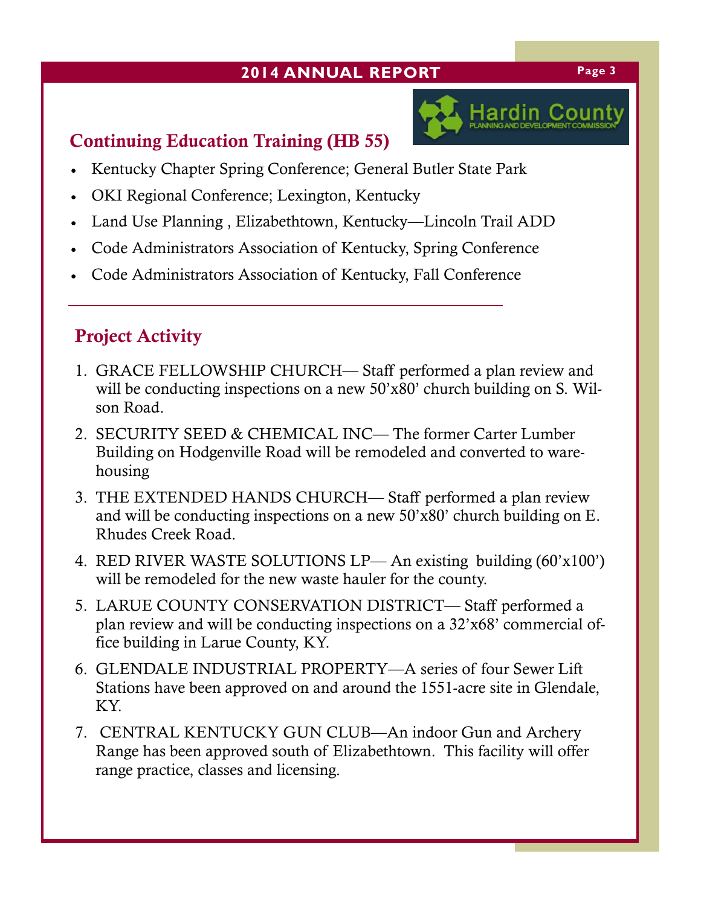## **2014 ANNUAL REPORT Page 3**



# Continuing Education Training (HB 55)

- Kentucky Chapter Spring Conference; General Butler State Park
- OKI Regional Conference; Lexington, Kentucky
- Land Use Planning , Elizabethtown, Kentucky—Lincoln Trail ADD
- Code Administrators Association of Kentucky, Spring Conference
- Code Administrators Association of Kentucky, Fall Conference

# Project Activity

- 1. GRACE FELLOWSHIP CHURCH— Staff performed a plan review and will be conducting inspections on a new 50'x80' church building on S. Wilson Road.
- 2. SECURITY SEED & CHEMICAL INC— The former Carter Lumber Building on Hodgenville Road will be remodeled and converted to warehousing
- 3. THE EXTENDED HANDS CHURCH— Staff performed a plan review and will be conducting inspections on a new 50'x80' church building on E. Rhudes Creek Road.
- 4. RED RIVER WASTE SOLUTIONS LP— An existing building (60'x100') will be remodeled for the new waste hauler for the county.
- 5. LARUE COUNTY CONSERVATION DISTRICT— Staff performed a plan review and will be conducting inspections on a 32'x68' commercial office building in Larue County, KY.
- 6. GLENDALE INDUSTRIAL PROPERTY—A series of four Sewer Lift Stations have been approved on and around the 1551-acre site in Glendale, KY.
- 7. CENTRAL KENTUCKY GUN CLUB—An indoor Gun and Archery Range has been approved south of Elizabethtown. This facility will offer range practice, classes and licensing.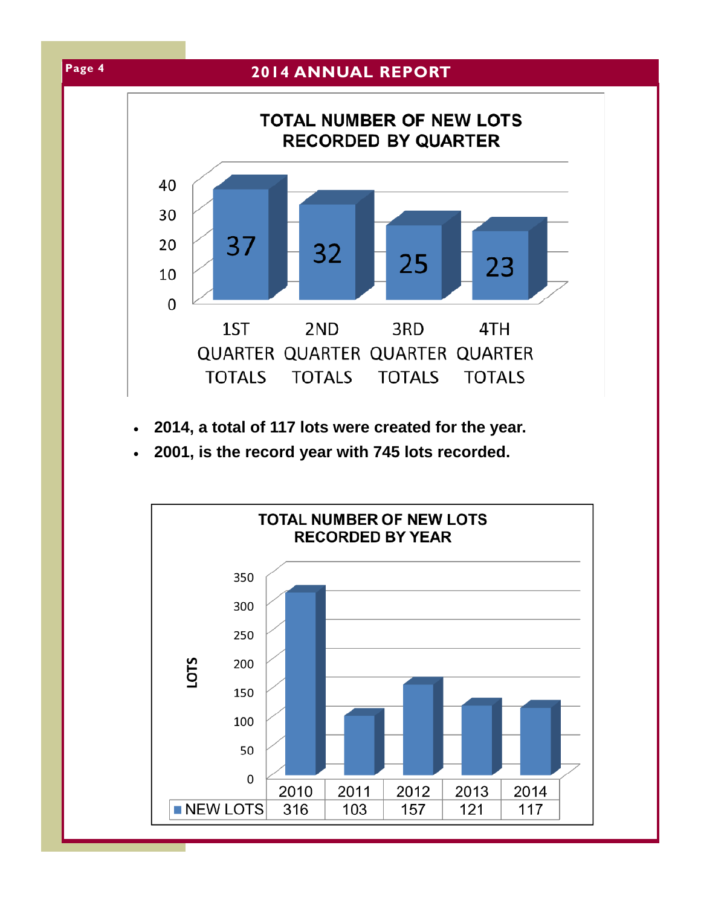

- **2014, a total of 117 lots were created for the year.**
- **2001, is the record year with 745 lots recorded.**

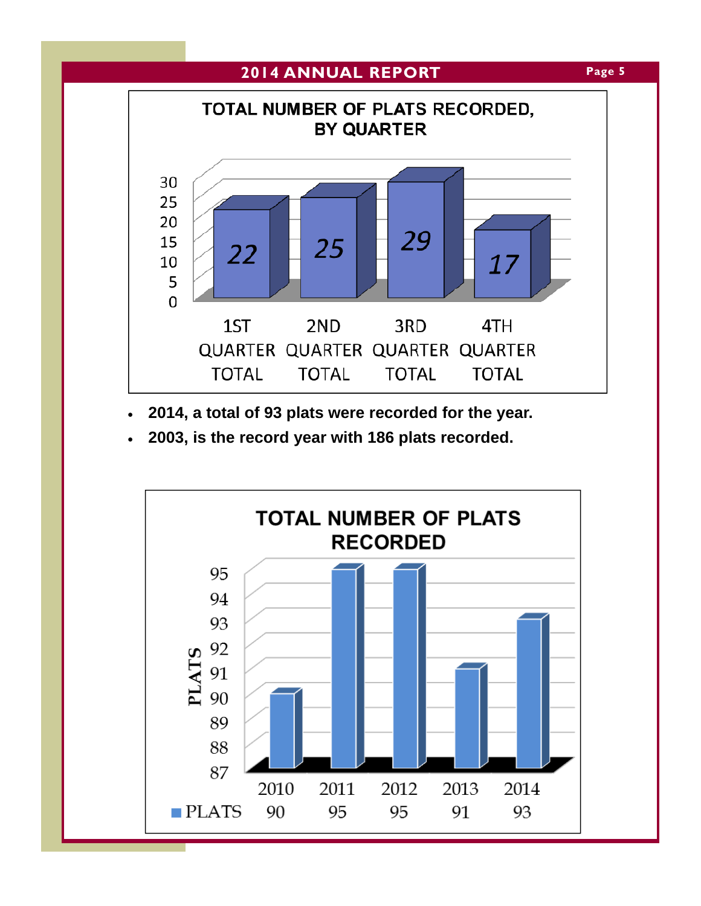

- **2014, a total of 93 plats were recorded for the year.**
- **2003, is the record year with 186 plats recorded.**

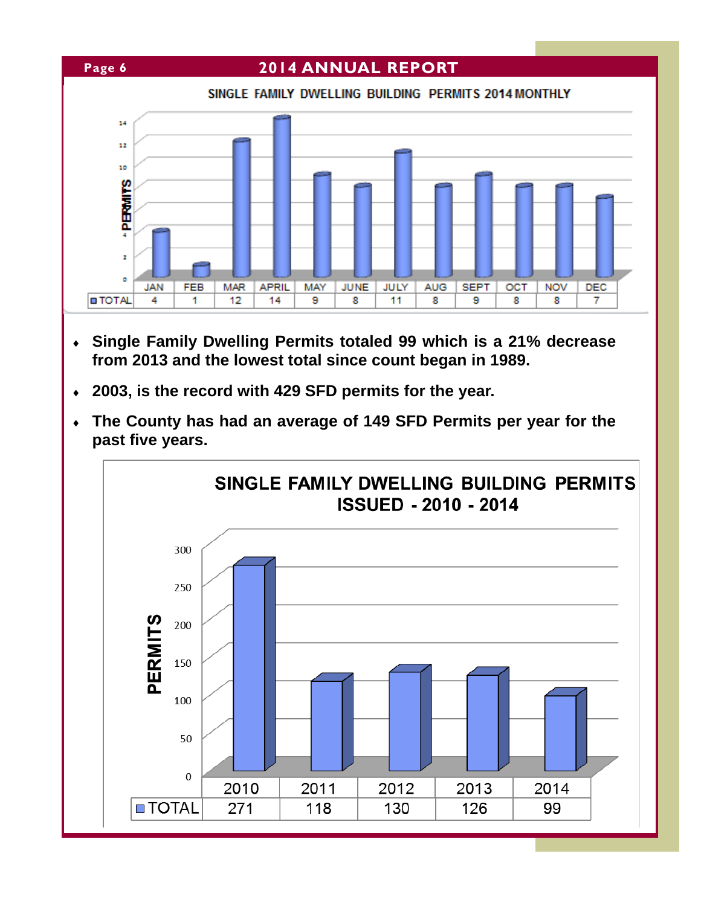

- **Single Family Dwelling Permits totaled 99 which is a 21% decrease from 2013 and the lowest total since count began in 1989.**
- **2003, is the record with 429 SFD permits for the year.**
- **The County has had an average of 149 SFD Permits per year for the past five years.**

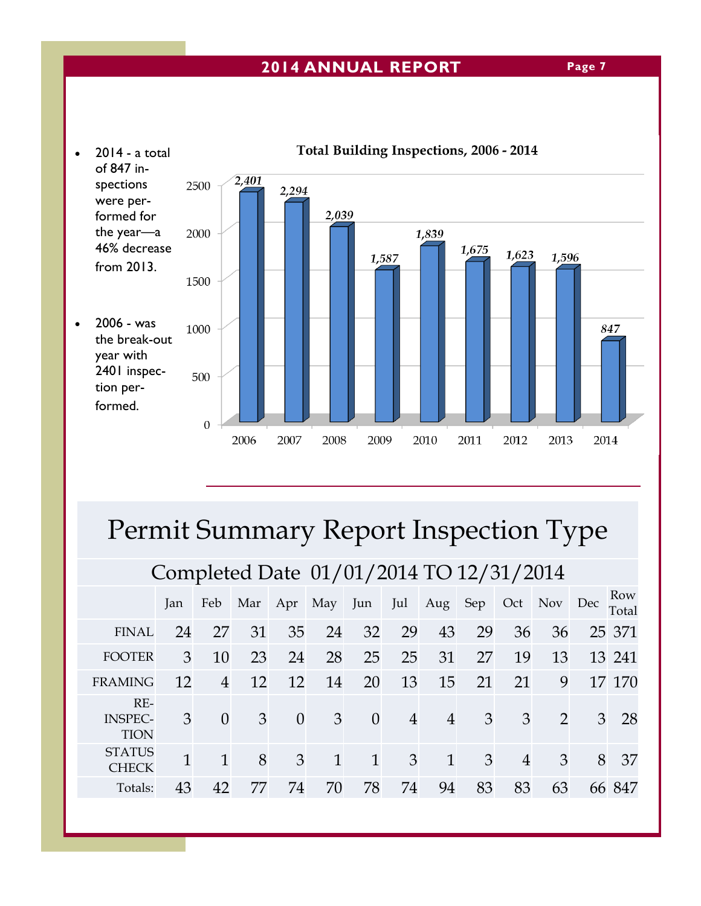### **2014 ANNUAL REPORT**



# Permit Summary Report Inspection Type

# Completed Date 01/01/2014 TO 12/31/2014

|                                        | Jan          | Feb            | Mar | Apr      | May | Jun            | Jul            | Aug            | Sep            | Oct            | Nov | Dec           | Row<br>Total |
|----------------------------------------|--------------|----------------|-----|----------|-----|----------------|----------------|----------------|----------------|----------------|-----|---------------|--------------|
| <b>FINAL</b>                           | 24           | 27             | 31  | 35       | 24  | 32             | 29             | 43             | 29             | 36             | 36  |               | 25 371       |
| <b>FOOTER</b>                          | 3            | 10             | 23  | 24       | 28  | 25             | 25             | 31             | 27             | 19             | 13  |               | 13 241       |
| <b>FRAMING</b>                         | 12           | $\overline{4}$ | 12  | 12       | 14  | 20             | 13             | 15             | 21             | 21             | 9   |               | 17 170       |
| $RE-$<br><b>INSPEC-</b><br><b>TION</b> | 3            | $\Omega$       | 3   | $\Omega$ | 3   | $\overline{0}$ | $\overline{4}$ | $\overline{4}$ | $\mathfrak{Z}$ | 3              | 2   | $\mathcal{E}$ | 28           |
| <b>STATUS</b><br><b>CHECK</b>          | $\mathbf{1}$ |                | 8   | 3        | 1   | $\mathbf{1}$   | $\mathfrak{B}$ | $\mathbf{1}$   | 3              | $\overline{4}$ | 3   | 8             | -37          |
| Totals:                                | 43           | 42             | 77  | 74       | 70  | 78             | 74             | 94             | 83             | 83             | 63  |               | 66 847       |

**Page 7**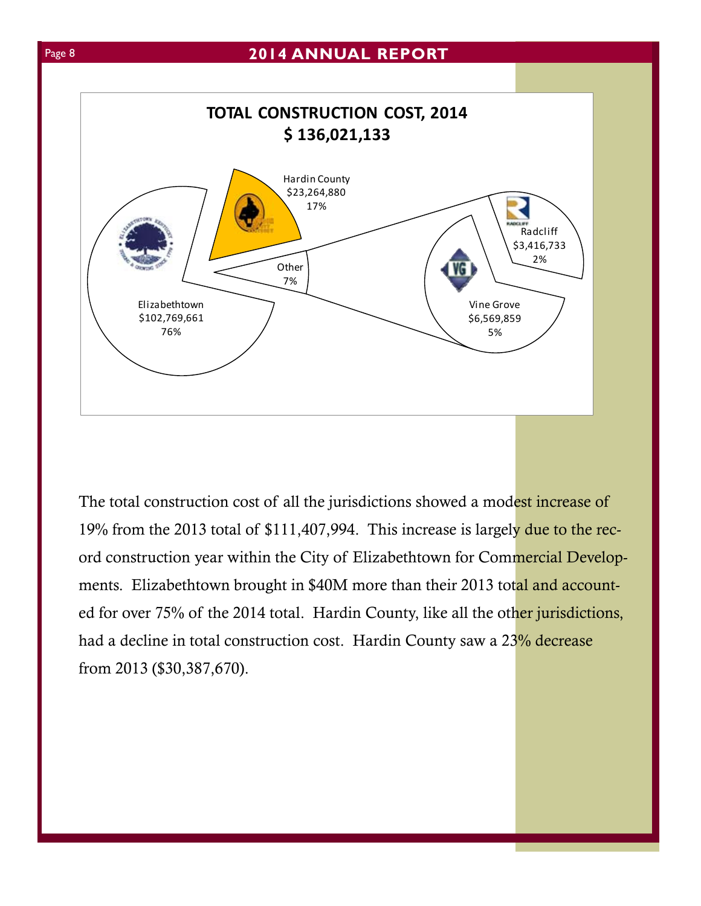

The total construction cost of all the jurisdictions showed a modest increase of 19% from the 2013 total of \$111,407,994. This increase is largely due to the record construction year within the City of Elizabethtown for Commercial Developments. Elizabethtown brought in \$40M more than their 2013 total and accounted for over 75% of the 2014 total. Hardin County, like all the other jurisdictions, had a decline in total construction cost. Hardin County saw a 23% decrease from 2013 (\$30,387,670).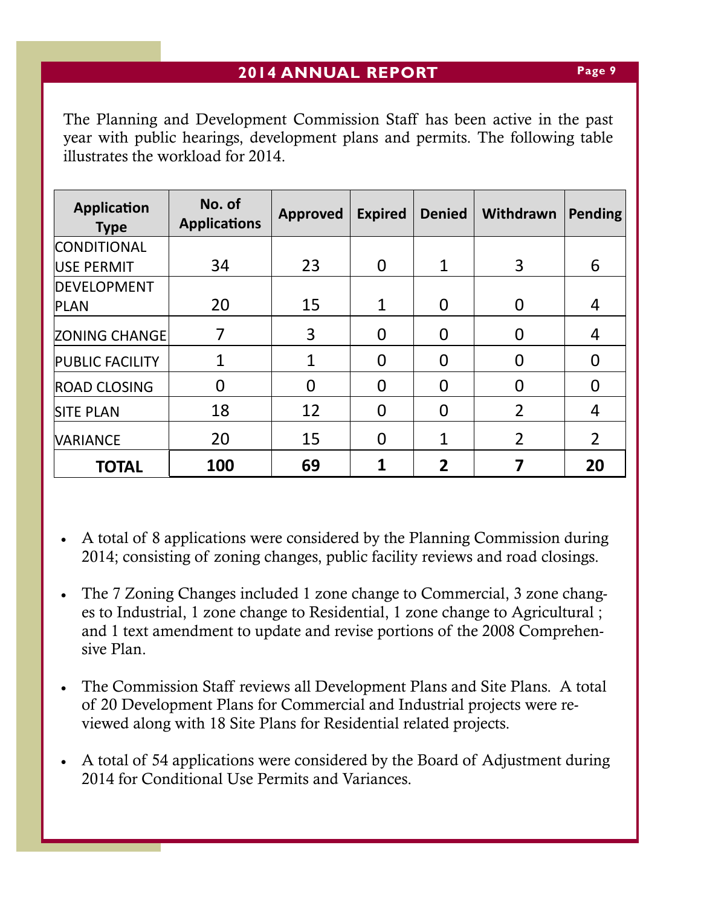The Planning and Development Commission Staff has been active in the past year with public hearings, development plans and permits. The following table illustrates the workload for 2014.

| <b>Application</b><br><b>Type</b> | No. of<br><b>Applications</b> | <b>Approved</b> | <b>Expired</b> | <b>Denied</b>  | Withdrawn      | <b>Pending</b> |
|-----------------------------------|-------------------------------|-----------------|----------------|----------------|----------------|----------------|
| <b>CONDITIONAL</b>                |                               |                 |                |                |                |                |
| USE PERMIT                        | 34                            | 23              | $\overline{0}$ | $\mathbf{1}$   | 3              | 6              |
| <b>DEVELOPMENT</b>                |                               |                 |                |                |                |                |
| <b>PLAN</b>                       | 20                            | 15              | $\mathbf{1}$   | 0              | 0              | 4              |
| <b>ZONING CHANGE</b>              |                               | 3               | $\Omega$       | $\Omega$       |                | 4              |
| <b>PUBLIC FACILITY</b>            | 1                             |                 | $\overline{0}$ | $\Omega$       |                | 0              |
| <b>ROAD CLOSING</b>               | 0                             | 0               | $\Omega$       | $\Omega$       |                | 0              |
| <b>SITE PLAN</b>                  | 18                            | 12              | $\overline{0}$ | $\Omega$       | $\overline{2}$ | 4              |
| <b>VARIANCE</b>                   | 20                            | 15              | 0              | 1              | $\overline{2}$ | $\overline{2}$ |
| <b>TOTAL</b>                      | 100                           | 69              | 1              | $\overline{2}$ |                | 20             |

- A total of 8 applications were considered by the Planning Commission during 2014; consisting of zoning changes, public facility reviews and road closings.
- The 7 Zoning Changes included 1 zone change to Commercial, 3 zone changes to Industrial, 1 zone change to Residential, 1 zone change to Agricultural ; and 1 text amendment to update and revise portions of the 2008 Comprehensive Plan.
- The Commission Staff reviews all Development Plans and Site Plans. A total of 20 Development Plans for Commercial and Industrial projects were reviewed along with 18 Site Plans for Residential related projects.
- A total of 54 applications were considered by the Board of Adjustment during 2014 for Conditional Use Permits and Variances.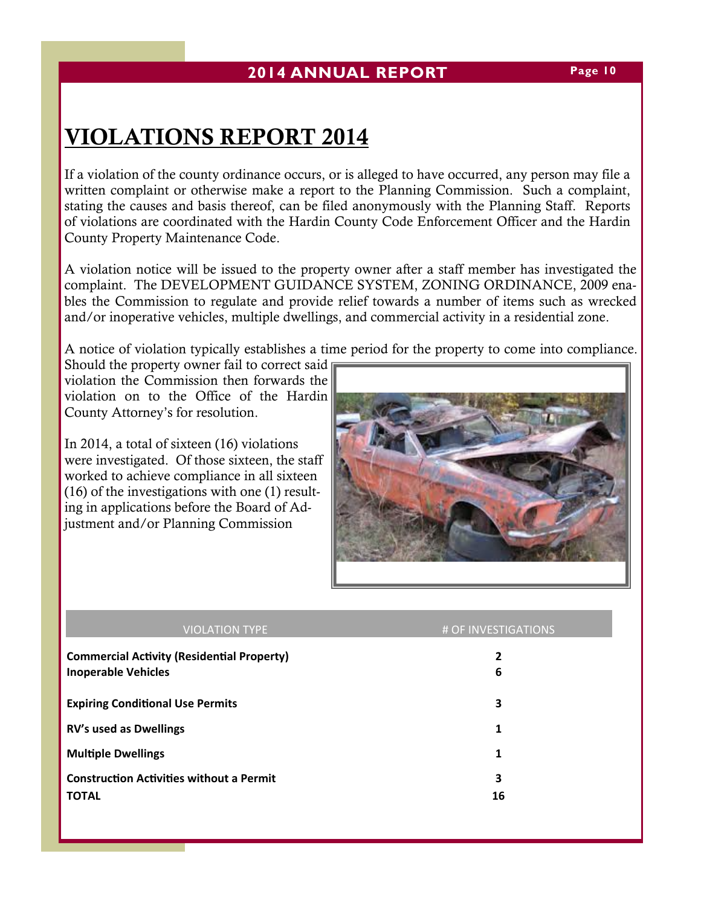# VIOLATIONS REPORT 2014

If a violation of the county ordinance occurs, or is alleged to have occurred, any person may file a written complaint or otherwise make a report to the Planning Commission. Such a complaint, stating the causes and basis thereof, can be filed anonymously with the Planning Staff. Reports of violations are coordinated with the Hardin County Code Enforcement Officer and the Hardin County Property Maintenance Code.

A violation notice will be issued to the property owner after a staff member has investigated the complaint. The DEVELOPMENT GUIDANCE SYSTEM, ZONING ORDINANCE, 2009 enables the Commission to regulate and provide relief towards a number of items such as wrecked and/or inoperative vehicles, multiple dwellings, and commercial activity in a residential zone.

A notice of violation typically establishes a time period for the property to come into compliance.

Should the property owner fail to correct said violation the Commission then forwards the violation on to the Office of the Hardin County Attorney's for resolution.

In 2014, a total of sixteen (16) violations were investigated. Of those sixteen, the staff worked to achieve compliance in all sixteen (16) of the investigations with one (1) resulting in applications before the Board of Adjustment and/or Planning Commission



| <b>VIOLATION TYPE</b>                             | # OF INVESTIGATIONS |
|---------------------------------------------------|---------------------|
| <b>Commercial Activity (Residential Property)</b> | 2                   |
| <b>Inoperable Vehicles</b>                        | 6                   |
| <b>Expiring Conditional Use Permits</b>           | 3                   |
| <b>RV's used as Dwellings</b>                     | 1                   |
| <b>Multiple Dwellings</b>                         | 1                   |
| <b>Construction Activities without a Permit</b>   | 3                   |
| <b>TOTAL</b>                                      | 16                  |